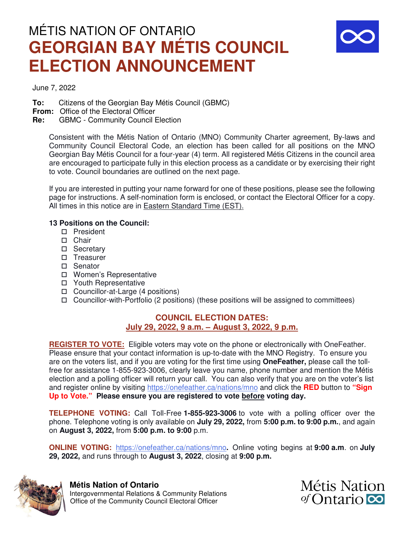# MÉTIS NATION OF ONTARIO **GEORGIAN BAY MÉTIS COUNCIL ELECTION ANNOUNCEMENT**



June 7, 2022

- **To:** Citizens of the Georgian Bay Métis Council (GBMC)
- **From:** Office of the Electoral Officer
- **Re:** GBMC Community Council Election

Consistent with the Métis Nation of Ontario (MNO) Community Charter agreement, By-laws and Community Council Electoral Code, an election has been called for all positions on the MNO Georgian Bay Métis Council for a four-year (4) term. All registered Métis Citizens in the council area are encouraged to participate fully in this election process as a candidate or by exercising their right to vote. Council boundaries are outlined on the next page.

If you are interested in putting your name forward for one of these positions, please see the following page for instructions. A self-nomination form is enclosed, or contact the Electoral Officer for a copy. All times in this notice are in Eastern Standard Time (EST).

## **13 Positions on the Council:**

- □ President
- □ Chair
- □ Secretary
- □ Treasurer
- □ Senator
- □ Women's Representative
- Youth Representative
- Councillor-at-Large (4 positions)
- $\Box$  Councillor-with-Portfolio (2 positions) (these positions will be assigned to committees)

## **COUNCIL ELECTION DATES: July 29, 2022, 9 a.m. – August 3, 2022, 9 p.m.**

**REGISTER TO VOTE:** Eligible voters may vote on the phone or electronically with OneFeather. Please ensure that your contact information is up-to-date with the MNO Registry. To ensure you are on the voters list, and if you are voting for the first time using **OneFeather,** please call the tollfree for assistance 1-855-923-3006, clearly leave you name, phone number and mention the Métis election and a polling officer will return your call. You can also verify that you are on the voter's list and register online by visiting https://onefeather.ca/nations/mno and click the **RED** button to **"Sign Up to Vote." Please ensure you are registered to vote before voting day.**

**TELEPHONE VOTING:** Call Toll-Free **1-855-923-3006** to vote with a polling officer over the phone. Telephone voting is only available on **July 29, 2022,** from **5:00 p.m. to 9:00 p.m.**, and again on **August 3, 2022,** from **5:00 p.m. to 9:00** p.m.

**ONLINE VOTING:** https://onefeather.ca/nations/mno**.** Online voting begins at **9:00 a.m**. on **July 29, 2022,** and runs through to **August 3, 2022**, closing at **9:00 p.m.**



### **Métis Nation of Ontario**

 Intergovernmental Relations & Community Relations Office of the Community Council Electoral Officer